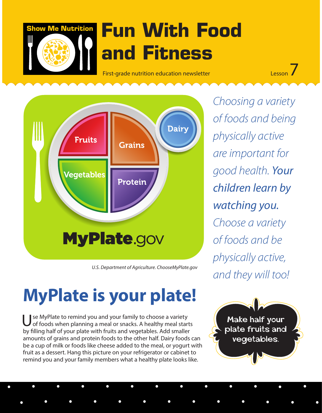

# **Show Me Nutrition Fun With Food and Fitness**

First-grade nutrition education newsletter Lesson 7



 *U.S. Department of Agriculture. ChooseMyPlate.gov*

## **MyPlate is your plate!**

Use MyPlate to remind you and your family to choose a variety<br>of foods when planning a meal or snacks. A healthy meal starts by filling half of your plate with fruits and vegetables. Add smaller amounts of grains and protein foods to the other half. Dairy foods can be a cup of milk or foods like cheese added to the meal, or yogurt with fruit as a dessert. Hang this picture on your refrigerator or cabinet to remind you and your family members what a healthy plate looks like.

*Choosing a variety of foods and being physically active are important for good health. Your children learn by watching you. Choose a variety of foods and be physically active, and they will too!*

Make half your plate fruits and vegetables.